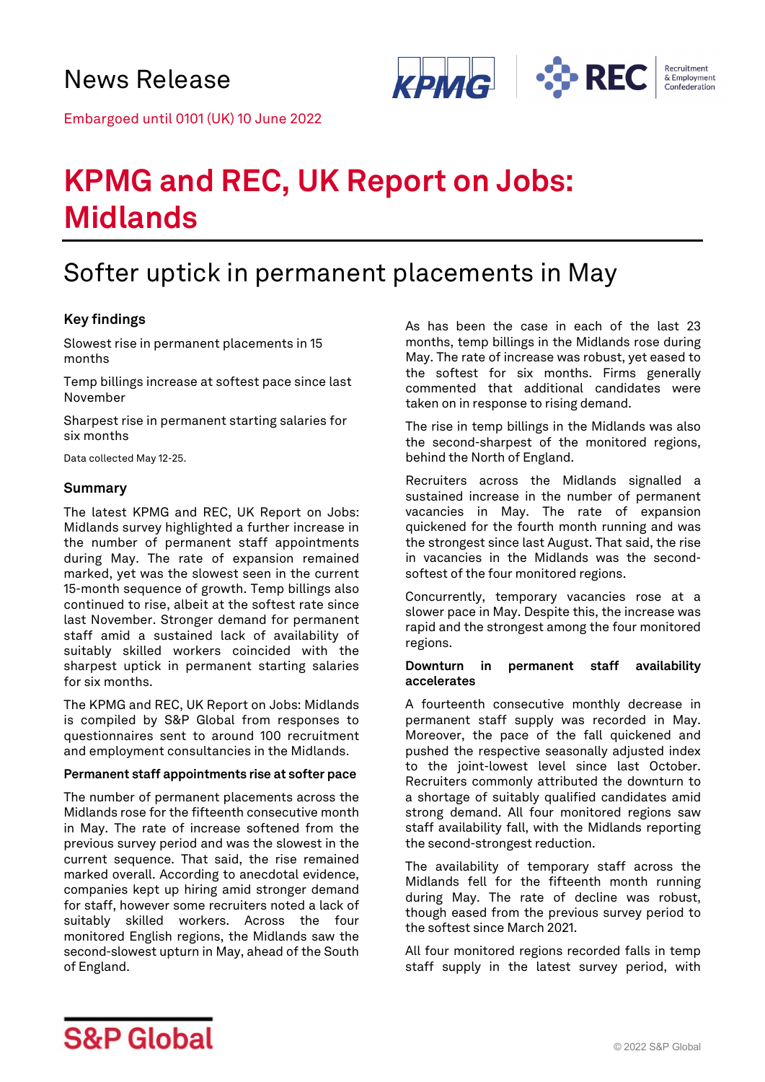

Embargoed until 0101 (UK) 10 June 2022

# **KPMG and REC, UK Report on Jobs: Midlands**

# Softer uptick in permanent placements in May

### **Key findings**

Slowest rise in permanent placements in 15 months

Temp billings increase at softest pace since last November

Sharpest rise in permanent starting salaries for six months

Data collected May 12-25.

#### **Summary**

The latest KPMG and REC, UK Report on Jobs: Midlands survey highlighted a further increase in the number of permanent staff appointments during May. The rate of expansion remained marked, yet was the slowest seen in the current 15-month sequence of growth. Temp billings also continued to rise, albeit at the softest rate since last November. Stronger demand for permanent staff amid a sustained lack of availability of suitably skilled workers coincided with the sharpest uptick in permanent starting salaries for six months.

The KPMG and REC, UK Report on Jobs: Midlands is compiled by S&P Global from responses to questionnaires sent to around 100 recruitment and employment consultancies in the Midlands.

#### **Permanent staff appointments rise at softer pace**

The number of permanent placements across the Midlands rose for the fifteenth consecutive month in May. The rate of increase softened from the previous survey period and was the slowest in the current sequence. That said, the rise remained marked overall. According to anecdotal evidence, companies kept up hiring amid stronger demand for staff, however some recruiters noted a lack of suitably skilled workers. Across the four monitored English regions, the Midlands saw the second-slowest upturn in May, ahead of the South of England.

As has been the case in each of the last 23 months, temp billings in the Midlands rose during May. The rate of increase was robust, yet eased to the softest for six months. Firms generally commented that additional candidates were taken on in response to rising demand.

The rise in temp billings in the Midlands was also the second-sharpest of the monitored regions, behind the North of England.

Recruiters across the Midlands signalled a sustained increase in the number of permanent vacancies in May. The rate of expansion quickened for the fourth month running and was the strongest since last August. That said, the rise in vacancies in the Midlands was the secondsoftest of the four monitored regions.

Concurrently, temporary vacancies rose at a slower pace in May. Despite this, the increase was rapid and the strongest among the four monitored regions.

#### **Downturn in permanent staff availability accelerates**

A fourteenth consecutive monthly decrease in permanent staff supply was recorded in May. Moreover, the pace of the fall quickened and pushed the respective seasonally adjusted index to the joint-lowest level since last October. Recruiters commonly attributed the downturn to a shortage of suitably qualified candidates amid strong demand. All four monitored regions saw staff availability fall, with the Midlands reporting the second-strongest reduction.

The availability of temporary staff across the Midlands fell for the fifteenth month running during May. The rate of decline was robust, though eased from the previous survey period to the softest since March 2021.

All four monitored regions recorded falls in temp staff supply in the latest survey period, with

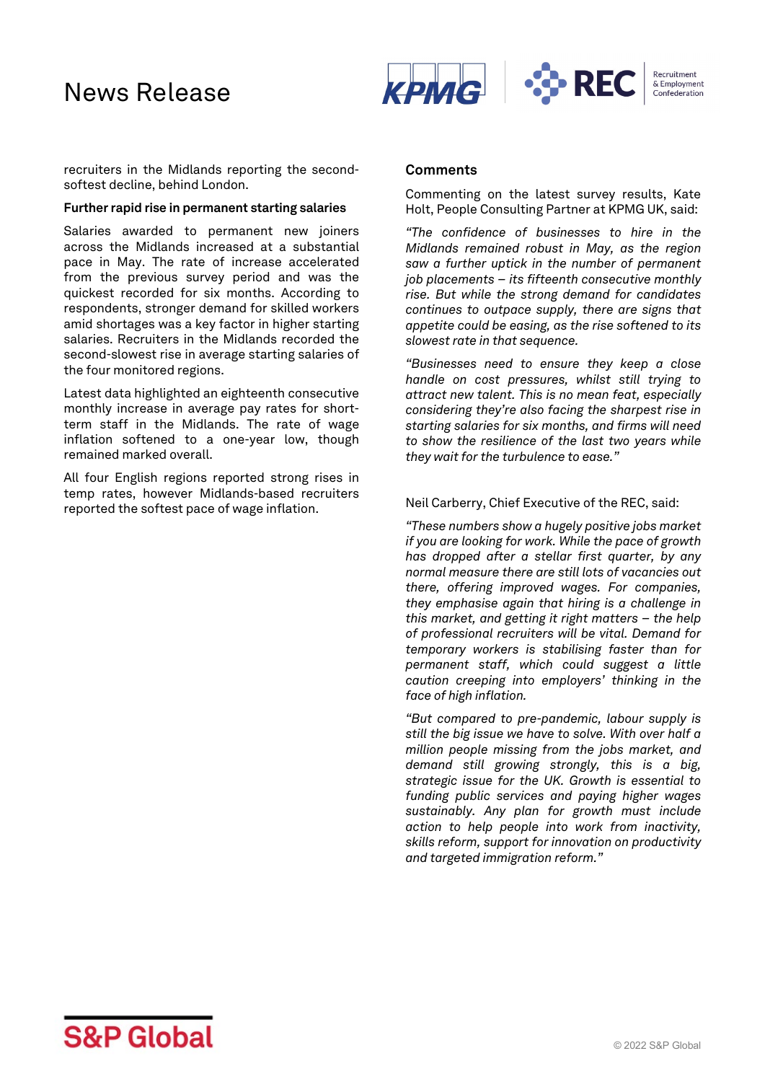# News Release



recruiters in the Midlands reporting the secondsoftest decline, behind London.

#### **Further rapid rise in permanent starting salaries**

Salaries awarded to permanent new joiners across the Midlands increased at a substantial pace in May. The rate of increase accelerated from the previous survey period and was the quickest recorded for six months. According to respondents, stronger demand for skilled workers amid shortages was a key factor in higher starting salaries. Recruiters in the Midlands recorded the second-slowest rise in average starting salaries of the four monitored regions.

Latest data highlighted an eighteenth consecutive monthly increase in average pay rates for shortterm staff in the Midlands. The rate of wage inflation softened to a one-year low, though remained marked overall.

All four English regions reported strong rises in temp rates, however Midlands-based recruiters reported the softest pace of wage inflation.

#### **Comments**

Commenting on the latest survey results, Kate Holt, People Consulting Partner at KPMG UK, said:

*"The confidence of businesses to hire in the Midlands remained robust in May, as the region saw a further uptick in the number of permanent job placements – its fifteenth consecutive monthly rise. But while the strong demand for candidates continues to outpace supply, there are signs that appetite could be easing, as the rise softened to its slowest rate in that sequence.*

*"Businesses need to ensure they keep a close handle on cost pressures, whilst still trying to attract new talent. This is no mean feat, especially considering they're also facing the sharpest rise in starting salaries for six months, and firms will need to show the resilience of the last two years while they wait for the turbulence to ease."*

#### Neil Carberry, Chief Executive of the REC, said:

*"These numbers show a hugely positive jobs market if you are looking for work. While the pace of growth has dropped after a stellar first quarter, by any normal measure there are still lots of vacancies out there, offering improved wages. For companies, they emphasise again that hiring is a challenge in this market, and getting it right matters – the help of professional recruiters will be vital. Demand for temporary workers is stabilising faster than for permanent staff, which could suggest a little caution creeping into employers' thinking in the face of high inflation.*

*"But compared to pre-pandemic, labour supply is still the big issue we have to solve. With over half a million people missing from the jobs market, and demand still growing strongly, this is a big, strategic issue for the UK. Growth is essential to funding public services and paying higher wages sustainably. Any plan for growth must include action to help people into work from inactivity, skills reform, support for innovation on productivity and targeted immigration reform."*